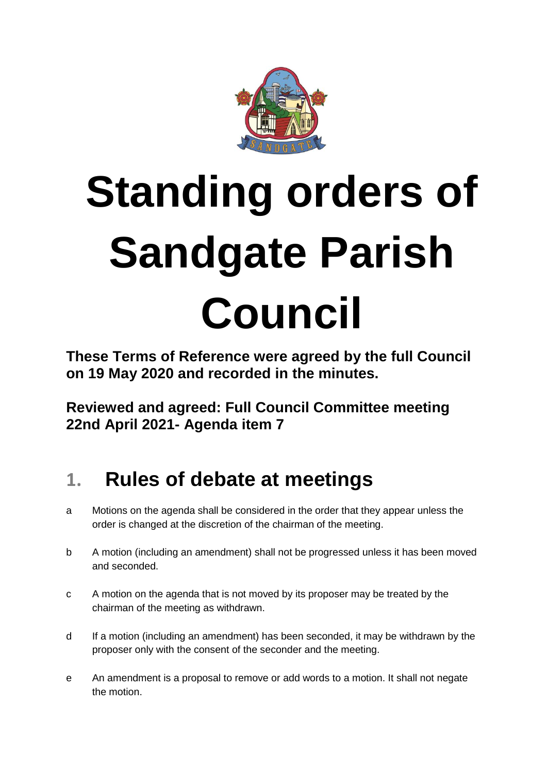

# **Standing orders of Sandgate Parish Council**

**These Terms of Reference were agreed by the full Council on 19 May 2020 and recorded in the minutes.**

**Reviewed and agreed: Full Council Committee meeting 22nd April 2021- Agenda item 7**

## **1. Rules of debate at meetings**

- a Motions on the agenda shall be considered in the order that they appear unless the order is changed at the discretion of the chairman of the meeting.
- b A motion (including an amendment) shall not be progressed unless it has been moved and seconded.
- c A motion on the agenda that is not moved by its proposer may be treated by the chairman of the meeting as withdrawn.
- d If a motion (including an amendment) has been seconded, it may be withdrawn by the proposer only with the consent of the seconder and the meeting.
- e An amendment is a proposal to remove or add words to a motion. It shall not negate the motion.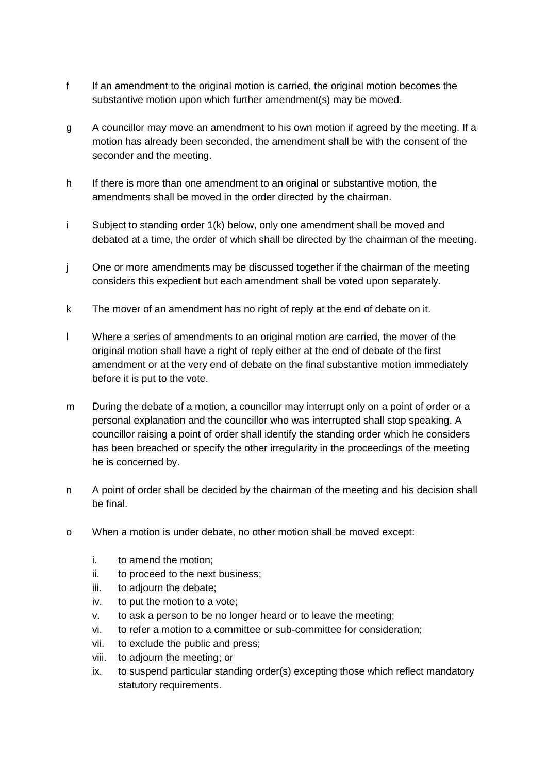- f If an amendment to the original motion is carried, the original motion becomes the substantive motion upon which further amendment(s) may be moved.
- g A councillor may move an amendment to his own motion if agreed by the meeting. If a motion has already been seconded, the amendment shall be with the consent of the seconder and the meeting.
- h If there is more than one amendment to an original or substantive motion, the amendments shall be moved in the order directed by the chairman.
- i Subject to standing order 1(k) below, only one amendment shall be moved and debated at a time, the order of which shall be directed by the chairman of the meeting.
- j One or more amendments may be discussed together if the chairman of the meeting considers this expedient but each amendment shall be voted upon separately.
- k The mover of an amendment has no right of reply at the end of debate on it.
- l Where a series of amendments to an original motion are carried, the mover of the original motion shall have a right of reply either at the end of debate of the first amendment or at the very end of debate on the final substantive motion immediately before it is put to the vote.
- m During the debate of a motion, a councillor may interrupt only on a point of order or a personal explanation and the councillor who was interrupted shall stop speaking. A councillor raising a point of order shall identify the standing order which he considers has been breached or specify the other irregularity in the proceedings of the meeting he is concerned by.
- n A point of order shall be decided by the chairman of the meeting and his decision shall be final.
- o When a motion is under debate, no other motion shall be moved except:
	- i. to amend the motion;
	- ii. to proceed to the next business;
	- iii. to adjourn the debate;
	- iv. to put the motion to a vote;
	- v. to ask a person to be no longer heard or to leave the meeting;
	- vi. to refer a motion to a committee or sub-committee for consideration;
	- vii. to exclude the public and press;
	- viii. to adjourn the meeting; or
	- ix. to suspend particular standing order(s) excepting those which reflect mandatory statutory requirements.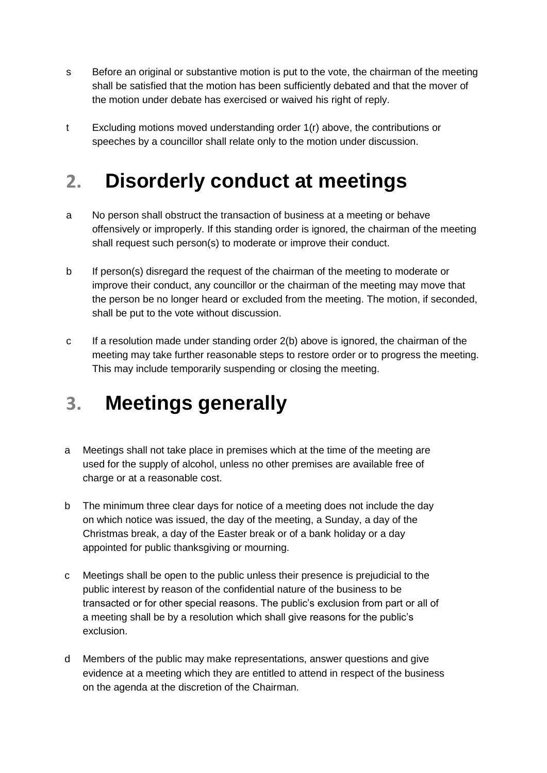- s Before an original or substantive motion is put to the vote, the chairman of the meeting shall be satisfied that the motion has been sufficiently debated and that the mover of the motion under debate has exercised or waived his right of reply.
- t Excluding motions moved understanding order 1(r) above, the contributions or speeches by a councillor shall relate only to the motion under discussion.

## **2. Disorderly conduct at meetings**

- a No person shall obstruct the transaction of business at a meeting or behave offensively or improperly. If this standing order is ignored, the chairman of the meeting shall request such person(s) to moderate or improve their conduct.
- b If person(s) disregard the request of the chairman of the meeting to moderate or improve their conduct, any councillor or the chairman of the meeting may move that the person be no longer heard or excluded from the meeting. The motion, if seconded, shall be put to the vote without discussion.
- c If a resolution made under standing order 2(b) above is ignored, the chairman of the meeting may take further reasonable steps to restore order or to progress the meeting. This may include temporarily suspending or closing the meeting.

#### **3. Meetings generally**

- a Meetings shall not take place in premises which at the time of the meeting are used for the supply of alcohol, unless no other premises are available free of charge or at a reasonable cost.
- b The minimum three clear days for notice of a meeting does not include the day on which notice was issued, the day of the meeting, a Sunday, a day of the Christmas break, a day of the Easter break or of a bank holiday or a day appointed for public thanksgiving or mourning.
- c Meetings shall be open to the public unless their presence is prejudicial to the public interest by reason of the confidential nature of the business to be transacted or for other special reasons. The public's exclusion from part or all of a meeting shall be by a resolution which shall give reasons for the public's exclusion.
- d Members of the public may make representations, answer questions and give evidence at a meeting which they are entitled to attend in respect of the business on the agenda at the discretion of the Chairman.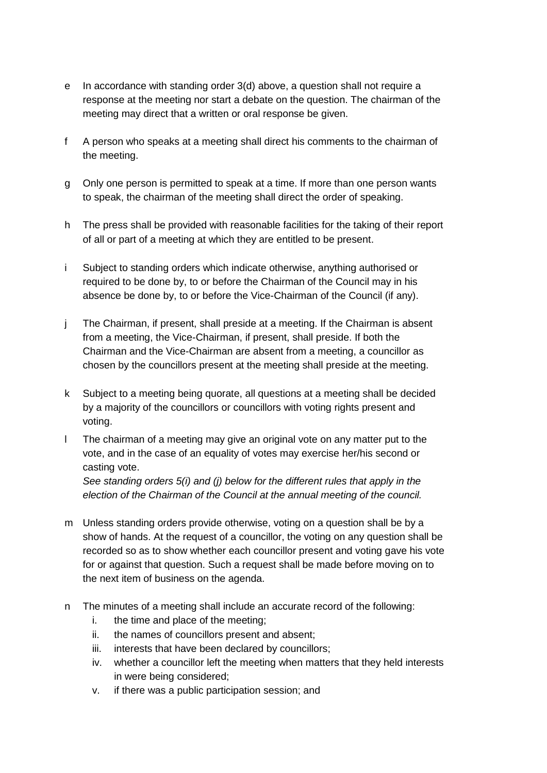- e In accordance with standing order 3(d) above, a question shall not require a response at the meeting nor start a debate on the question. The chairman of the meeting may direct that a written or oral response be given.
- f A person who speaks at a meeting shall direct his comments to the chairman of the meeting.
- g Only one person is permitted to speak at a time. If more than one person wants to speak, the chairman of the meeting shall direct the order of speaking.
- h The press shall be provided with reasonable facilities for the taking of their report of all or part of a meeting at which they are entitled to be present.
- i Subject to standing orders which indicate otherwise, anything authorised or required to be done by, to or before the Chairman of the Council may in his absence be done by, to or before the Vice-Chairman of the Council (if any).
- j The Chairman, if present, shall preside at a meeting. If the Chairman is absent from a meeting, the Vice-Chairman, if present, shall preside. If both the Chairman and the Vice-Chairman are absent from a meeting, a councillor as chosen by the councillors present at the meeting shall preside at the meeting.
- k Subject to a meeting being quorate, all questions at a meeting shall be decided by a majority of the councillors or councillors with voting rights present and voting.
- l The chairman of a meeting may give an original vote on any matter put to the vote, and in the case of an equality of votes may exercise her/his second or casting vote.

*See standing orders 5(i) and (j) below for the different rules that apply in the election of the Chairman of the Council at the annual meeting of the council.*

- m Unless standing orders provide otherwise, voting on a question shall be by a show of hands. At the request of a councillor, the voting on any question shall be recorded so as to show whether each councillor present and voting gave his vote for or against that question. Such a request shall be made before moving on to the next item of business on the agenda.
- n The minutes of a meeting shall include an accurate record of the following:
	- i. the time and place of the meeting;
	- ii. the names of councillors present and absent;
	- iii. interests that have been declared by councillors;
	- iv. whether a councillor left the meeting when matters that they held interests in were being considered;
	- v. if there was a public participation session; and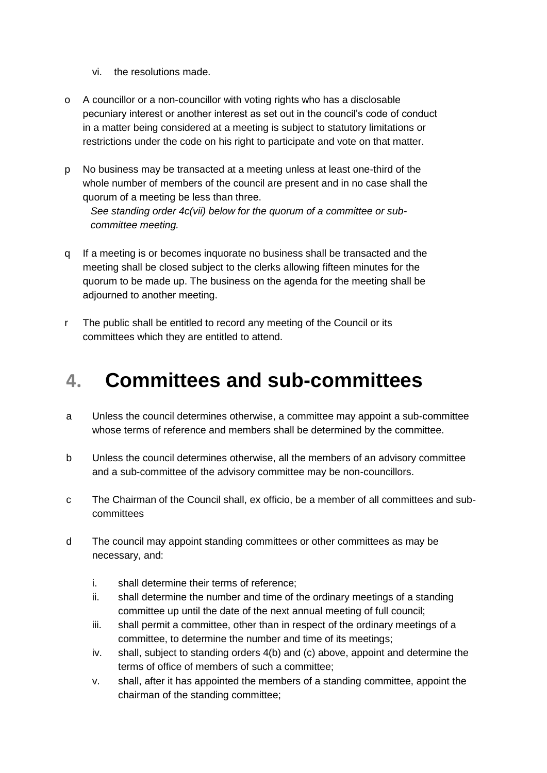- vi. the resolutions made.
- o A councillor or a non-councillor with voting rights who has a disclosable pecuniary interest or another interest as set out in the council's code of conduct in a matter being considered at a meeting is subject to statutory limitations or restrictions under the code on his right to participate and vote on that matter.
- p No business may be transacted at a meeting unless at least one-third of the whole number of members of the council are present and in no case shall the quorum of a meeting be less than three.

*See standing order 4c(vii) below for the quorum of a committee or subcommittee meeting.* 

- q If a meeting is or becomes inquorate no business shall be transacted and the meeting shall be closed subject to the clerks allowing fifteen minutes for the quorum to be made up. The business on the agenda for the meeting shall be adjourned to another meeting.
- r The public shall be entitled to record any meeting of the Council or its committees which they are entitled to attend.

#### **4. Committees and sub-committees**

- a Unless the council determines otherwise, a committee may appoint a sub-committee whose terms of reference and members shall be determined by the committee.
- b Unless the council determines otherwise, all the members of an advisory committee and a sub-committee of the advisory committee may be non-councillors.
- c The Chairman of the Council shall, ex officio, be a member of all committees and subcommittees
- d The council may appoint standing committees or other committees as may be necessary, and:
	- i. shall determine their terms of reference;
	- ii. shall determine the number and time of the ordinary meetings of a standing committee up until the date of the next annual meeting of full council;
	- iii. shall permit a committee, other than in respect of the ordinary meetings of a committee, to determine the number and time of its meetings;
	- iv. shall, subject to standing orders 4(b) and (c) above, appoint and determine the terms of office of members of such a committee;
	- v. shall, after it has appointed the members of a standing committee, appoint the chairman of the standing committee;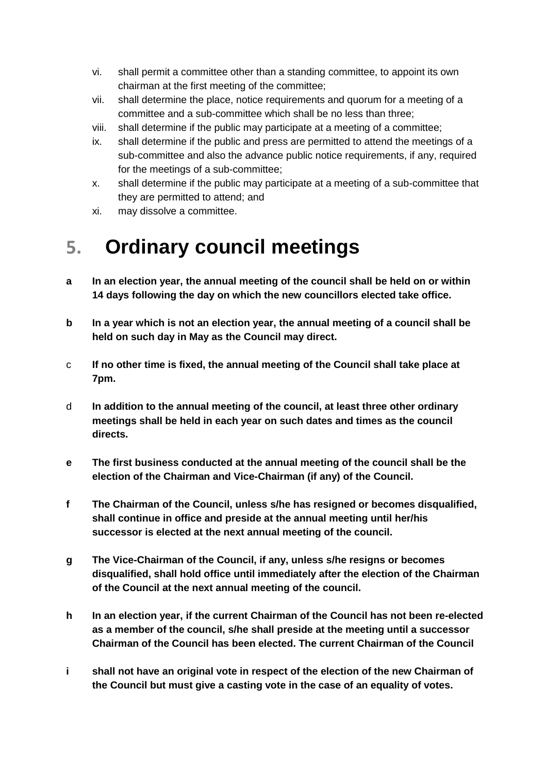- vi. shall permit a committee other than a standing committee, to appoint its own chairman at the first meeting of the committee;
- vii. shall determine the place, notice requirements and quorum for a meeting of a committee and a sub-committee which shall be no less than three;
- viii. shall determine if the public may participate at a meeting of a committee;
- ix. shall determine if the public and press are permitted to attend the meetings of a sub-committee and also the advance public notice requirements, if any, required for the meetings of a sub-committee;
- x. shall determine if the public may participate at a meeting of a sub-committee that they are permitted to attend; and
- xi. may dissolve a committee.

#### **5. Ordinary council meetings**

- **a In an election year, the annual meeting of the council shall be held on or within 14 days following the day on which the new councillors elected take office.**
- **b In a year which is not an election year, the annual meeting of a council shall be held on such day in May as the Council may direct.**
- c **If no other time is fixed, the annual meeting of the Council shall take place at 7pm.**
- d **In addition to the annual meeting of the council, at least three other ordinary meetings shall be held in each year on such dates and times as the council directs.**
- **e The first business conducted at the annual meeting of the council shall be the election of the Chairman and Vice-Chairman (if any) of the Council.**
- **f The Chairman of the Council, unless s/he has resigned or becomes disqualified, shall continue in office and preside at the annual meeting until her/his successor is elected at the next annual meeting of the council.**
- **g The Vice-Chairman of the Council, if any, unless s/he resigns or becomes disqualified, shall hold office until immediately after the election of the Chairman of the Council at the next annual meeting of the council.**
- **h In an election year, if the current Chairman of the Council has not been re-elected as a member of the council, s/he shall preside at the meeting until a successor Chairman of the Council has been elected. The current Chairman of the Council**
- **i shall not have an original vote in respect of the election of the new Chairman of the Council but must give a casting vote in the case of an equality of votes.**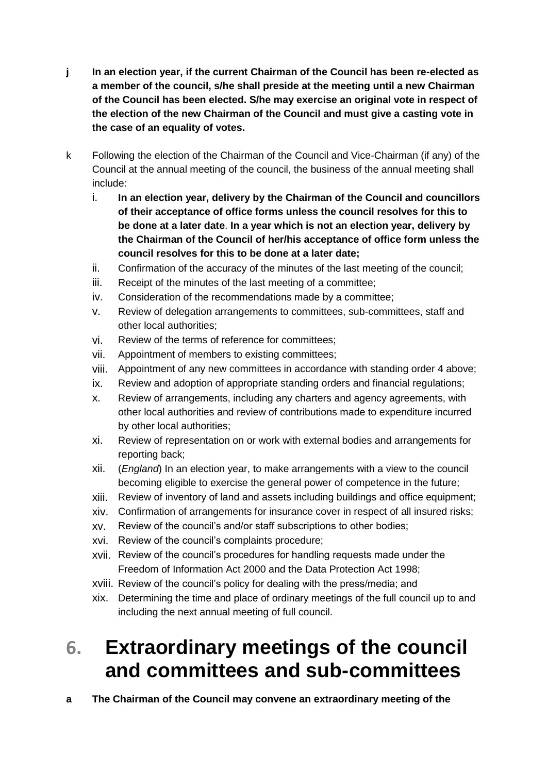- **j In an election year, if the current Chairman of the Council has been re-elected as a member of the council, s/he shall preside at the meeting until a new Chairman of the Council has been elected. S/he may exercise an original vote in respect of the election of the new Chairman of the Council and must give a casting vote in the case of an equality of votes.**
- k Following the election of the Chairman of the Council and Vice-Chairman (if any) of the Council at the annual meeting of the council, the business of the annual meeting shall include:
	- i. **In an election year, delivery by the Chairman of the Council and councillors of their acceptance of office forms unless the council resolves for this to be done at a later date**. **In a year which is not an election year, delivery by the Chairman of the Council of her/his acceptance of office form unless the council resolves for this to be done at a later date;**
	- ii. Confirmation of the accuracy of the minutes of the last meeting of the council;
	- iii. Receipt of the minutes of the last meeting of a committee;
	- iv. Consideration of the recommendations made by a committee;
	- v. Review of delegation arrangements to committees, sub-committees, staff and other local authorities;
	- vi. Review of the terms of reference for committees;
	- vii. Appointment of members to existing committees;
	- viii. Appointment of any new committees in accordance with standing order 4 above;
	- ix. Review and adoption of appropriate standing orders and financial regulations;
	- x. Review of arrangements, including any charters and agency agreements, with other local authorities and review of contributions made to expenditure incurred by other local authorities;
	- xi. Review of representation on or work with external bodies and arrangements for reporting back;
	- xii. (*England*) In an election year, to make arrangements with a view to the council becoming eligible to exercise the general power of competence in the future;
	- xiii. Review of inventory of land and assets including buildings and office equipment;
	- xiv. Confirmation of arrangements for insurance cover in respect of all insured risks;
	- xv. Review of the council's and/or staff subscriptions to other bodies;
	- xvi. Review of the council's complaints procedure;
	- xvii. Review of the council's procedures for handling requests made under the Freedom of Information Act 2000 and the Data Protection Act 1998;
	- xviii. Review of the council's policy for dealing with the press/media; and
	- xix. Determining the time and place of ordinary meetings of the full council up to and including the next annual meeting of full council.

#### **6. Extraordinary meetings of the council and committees and sub-committees**

**a The Chairman of the Council may convene an extraordinary meeting of the**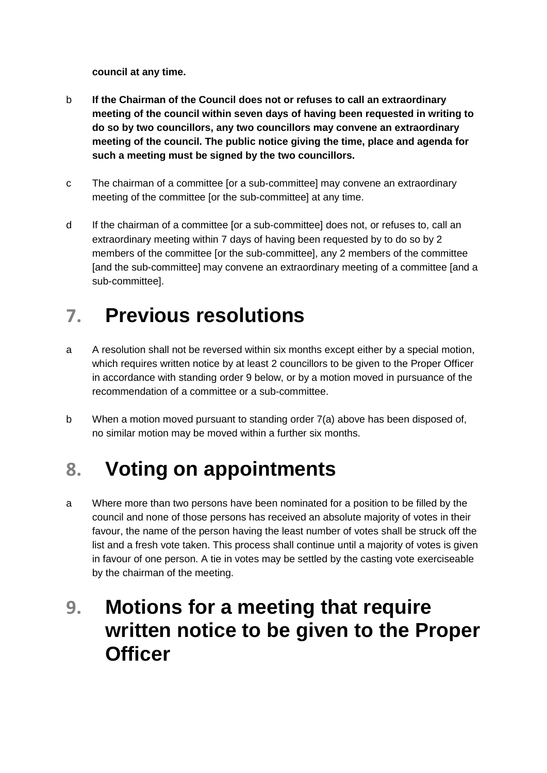**council at any time.** 

- b **If the Chairman of the Council does not or refuses to call an extraordinary meeting of the council within seven days of having been requested in writing to do so by two councillors, any two councillors may convene an extraordinary meeting of the council. The public notice giving the time, place and agenda for such a meeting must be signed by the two councillors.**
- c The chairman of a committee [or a sub-committee] may convene an extraordinary meeting of the committee [or the sub-committee] at any time.
- d If the chairman of a committee [or a sub-committee] does not, or refuses to, call an extraordinary meeting within 7 days of having been requested by to do so by 2 members of the committee [or the sub-committee], any 2 members of the committee [and the sub-committee] may convene an extraordinary meeting of a committee [and a sub-committee].

#### **7. Previous resolutions**

- a A resolution shall not be reversed within six months except either by a special motion, which requires written notice by at least 2 councillors to be given to the Proper Officer in accordance with standing order 9 below, or by a motion moved in pursuance of the recommendation of a committee or a sub-committee.
- b When a motion moved pursuant to standing order 7(a) above has been disposed of, no similar motion may be moved within a further six months.

#### **8. Voting on appointments**

a Where more than two persons have been nominated for a position to be filled by the council and none of those persons has received an absolute majority of votes in their favour, the name of the person having the least number of votes shall be struck off the list and a fresh vote taken. This process shall continue until a majority of votes is given in favour of one person. A tie in votes may be settled by the casting vote exerciseable by the chairman of the meeting.

#### **9. Motions for a meeting that require written notice to be given to the Proper Officer**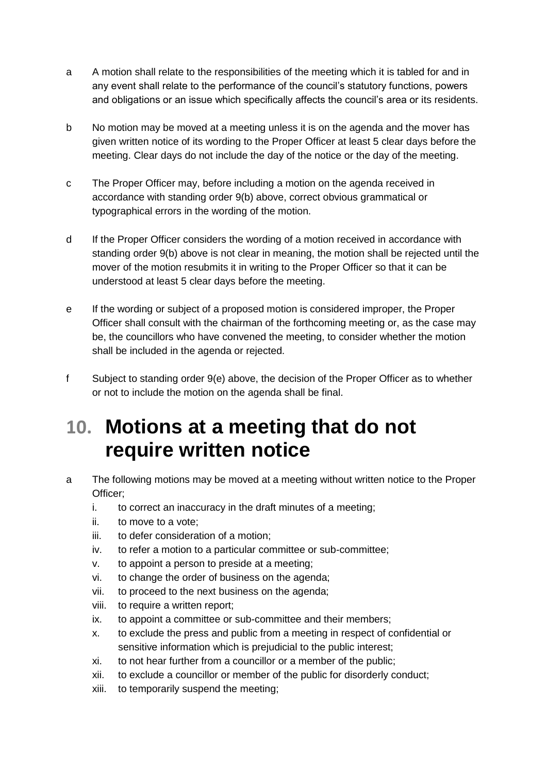- a A motion shall relate to the responsibilities of the meeting which it is tabled for and in any event shall relate to the performance of the council's statutory functions, powers and obligations or an issue which specifically affects the council's area or its residents.
- b No motion may be moved at a meeting unless it is on the agenda and the mover has given written notice of its wording to the Proper Officer at least 5 clear days before the meeting. Clear days do not include the day of the notice or the day of the meeting.
- c The Proper Officer may, before including a motion on the agenda received in accordance with standing order 9(b) above, correct obvious grammatical or typographical errors in the wording of the motion.
- d If the Proper Officer considers the wording of a motion received in accordance with standing order 9(b) above is not clear in meaning, the motion shall be rejected until the mover of the motion resubmits it in writing to the Proper Officer so that it can be understood at least 5 clear days before the meeting.
- e If the wording or subject of a proposed motion is considered improper, the Proper Officer shall consult with the chairman of the forthcoming meeting or, as the case may be, the councillors who have convened the meeting, to consider whether the motion shall be included in the agenda or rejected.
- f Subject to standing order 9(e) above, the decision of the Proper Officer as to whether or not to include the motion on the agenda shall be final.

#### **10. Motions at a meeting that do not require written notice**

- a The following motions may be moved at a meeting without written notice to the Proper Officer;
	- i. to correct an inaccuracy in the draft minutes of a meeting;
	- ii. to move to a vote;
	- iii. to defer consideration of a motion;
	- iv. to refer a motion to a particular committee or sub-committee;
	- v. to appoint a person to preside at a meeting;
	- vi. to change the order of business on the agenda;
	- vii. to proceed to the next business on the agenda;
	- viii. to require a written report;
	- ix. to appoint a committee or sub-committee and their members;
	- x. to exclude the press and public from a meeting in respect of confidential or sensitive information which is prejudicial to the public interest;
	- xi. to not hear further from a councillor or a member of the public;
	- xii. to exclude a councillor or member of the public for disorderly conduct;
	- xiii. to temporarily suspend the meeting;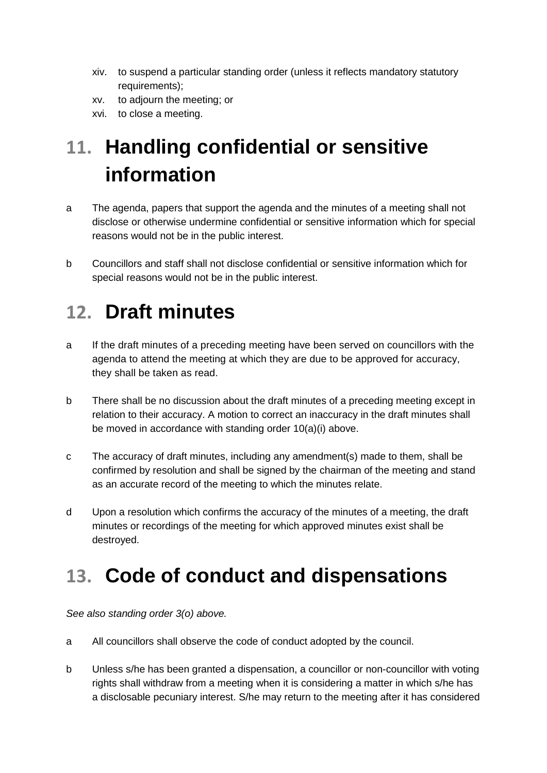- xiv. to suspend a particular standing order (unless it reflects mandatory statutory requirements);
- xv. to adjourn the meeting; or
- xvi. to close a meeting.

## **11. Handling confidential or sensitive information**

- a The agenda, papers that support the agenda and the minutes of a meeting shall not disclose or otherwise undermine confidential or sensitive information which for special reasons would not be in the public interest.
- b Councillors and staff shall not disclose confidential or sensitive information which for special reasons would not be in the public interest.

#### **12. Draft minutes**

- a If the draft minutes of a preceding meeting have been served on councillors with the agenda to attend the meeting at which they are due to be approved for accuracy, they shall be taken as read.
- b There shall be no discussion about the draft minutes of a preceding meeting except in relation to their accuracy. A motion to correct an inaccuracy in the draft minutes shall be moved in accordance with standing order 10(a)(i) above.
- c The accuracy of draft minutes, including any amendment(s) made to them, shall be confirmed by resolution and shall be signed by the chairman of the meeting and stand as an accurate record of the meeting to which the minutes relate.
- d Upon a resolution which confirms the accuracy of the minutes of a meeting, the draft minutes or recordings of the meeting for which approved minutes exist shall be destroyed.

#### **13. Code of conduct and dispensations**

*See also standing order 3(o) above.* 

- a All councillors shall observe the code of conduct adopted by the council.
- b Unless s/he has been granted a dispensation, a councillor or non-councillor with voting rights shall withdraw from a meeting when it is considering a matter in which s/he has a disclosable pecuniary interest. S/he may return to the meeting after it has considered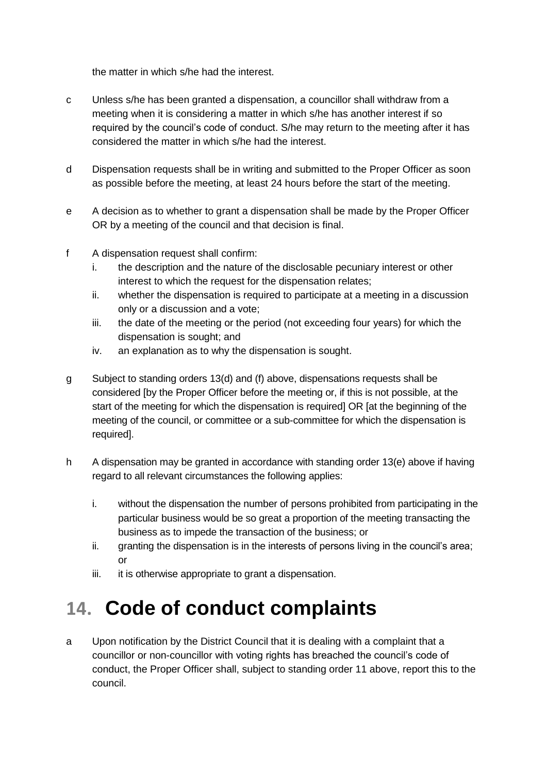the matter in which s/he had the interest.

- c Unless s/he has been granted a dispensation, a councillor shall withdraw from a meeting when it is considering a matter in which s/he has another interest if so required by the council's code of conduct. S/he may return to the meeting after it has considered the matter in which s/he had the interest.
- d Dispensation requests shall be in writing and submitted to the Proper Officer as soon as possible before the meeting, at least 24 hours before the start of the meeting.
- e A decision as to whether to grant a dispensation shall be made by the Proper Officer OR by a meeting of the council and that decision is final.
- f A dispensation request shall confirm:
	- i. the description and the nature of the disclosable pecuniary interest or other interest to which the request for the dispensation relates;
	- ii. whether the dispensation is required to participate at a meeting in a discussion only or a discussion and a vote;
	- iii. the date of the meeting or the period (not exceeding four years) for which the dispensation is sought; and
	- iv. an explanation as to why the dispensation is sought.
- g Subject to standing orders 13(d) and (f) above, dispensations requests shall be considered [by the Proper Officer before the meeting or, if this is not possible, at the start of the meeting for which the dispensation is required] OR [at the beginning of the meeting of the council, or committee or a sub-committee for which the dispensation is required].
- h A dispensation may be granted in accordance with standing order 13(e) above if having regard to all relevant circumstances the following applies:
	- i. without the dispensation the number of persons prohibited from participating in the particular business would be so great a proportion of the meeting transacting the business as to impede the transaction of the business; or
	- ii. granting the dispensation is in the interests of persons living in the council's area; or
	- iii. it is otherwise appropriate to grant a dispensation.

#### **14. Code of conduct complaints**

a Upon notification by the District Council that it is dealing with a complaint that a councillor or non-councillor with voting rights has breached the council's code of conduct, the Proper Officer shall, subject to standing order 11 above, report this to the council.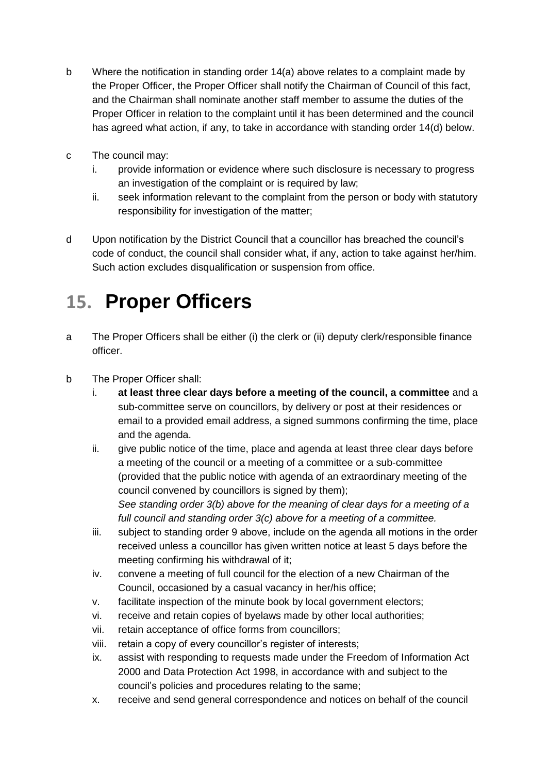- b Where the notification in standing order 14(a) above relates to a complaint made by the Proper Officer, the Proper Officer shall notify the Chairman of Council of this fact, and the Chairman shall nominate another staff member to assume the duties of the Proper Officer in relation to the complaint until it has been determined and the council has agreed what action, if any, to take in accordance with standing order 14(d) below.
- c The council may:
	- i. provide information or evidence where such disclosure is necessary to progress an investigation of the complaint or is required by law;
	- ii. seek information relevant to the complaint from the person or body with statutory responsibility for investigation of the matter;
- d Upon notification by the District Council that a councillor has breached the council's code of conduct, the council shall consider what, if any, action to take against her/him. Such action excludes disqualification or suspension from office.

#### **15. Proper Officers**

- a The Proper Officers shall be either (i) the clerk or (ii) deputy clerk/responsible finance officer.
- b The Proper Officer shall:
	- i. **at least three clear days before a meeting of the council, a committee** and a sub-committee serve on councillors, by delivery or post at their residences or email to a provided email address, a signed summons confirming the time, place and the agenda.
	- ii. give public notice of the time, place and agenda at least three clear days before a meeting of the council or a meeting of a committee or a sub-committee (provided that the public notice with agenda of an extraordinary meeting of the council convened by councillors is signed by them); *See standing order 3(b) above for the meaning of clear days for a meeting of a full council and standing order 3(c) above for a meeting of a committee.*
	- iii. subject to standing order 9 above, include on the agenda all motions in the order received unless a councillor has given written notice at least 5 days before the meeting confirming his withdrawal of it;
	- iv. convene a meeting of full council for the election of a new Chairman of the Council, occasioned by a casual vacancy in her/his office;
	- v. facilitate inspection of the minute book by local government electors;
	- vi. receive and retain copies of byelaws made by other local authorities;
	- vii. retain acceptance of office forms from councillors;
	- viii. retain a copy of every councillor's register of interests;
	- ix. assist with responding to requests made under the Freedom of Information Act 2000 and Data Protection Act 1998, in accordance with and subject to the council's policies and procedures relating to the same;
	- x. receive and send general correspondence and notices on behalf of the council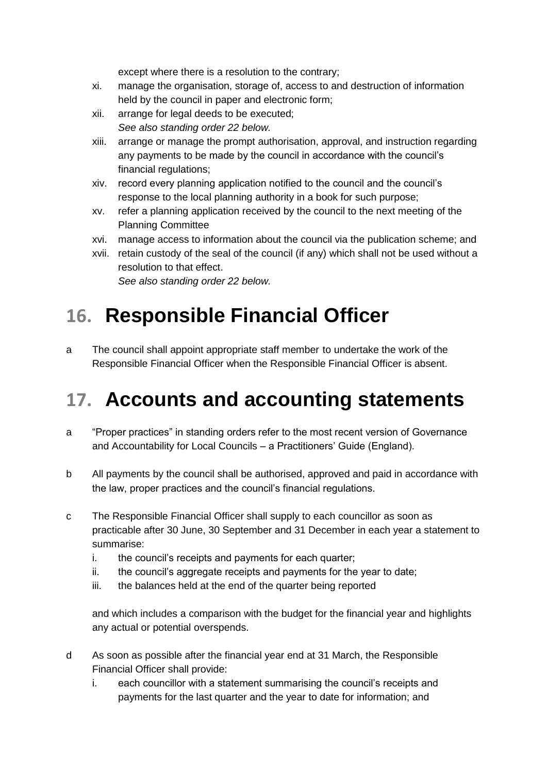except where there is a resolution to the contrary;

- xi. manage the organisation, storage of, access to and destruction of information held by the council in paper and electronic form;
- xii. arrange for legal deeds to be executed; *See also standing order 22 below.*
- xiii. arrange or manage the prompt authorisation, approval, and instruction regarding any payments to be made by the council in accordance with the council's financial regulations:
- xiv. record every planning application notified to the council and the council's response to the local planning authority in a book for such purpose;
- xv. refer a planning application received by the council to the next meeting of the Planning Committee
- xvi. manage access to information about the council via the publication scheme; and
- xvii. retain custody of the seal of the council (if any) which shall not be used without a resolution to that effect.

*See also standing order 22 below.*

## **16. Responsible Financial Officer**

a The council shall appoint appropriate staff member to undertake the work of the Responsible Financial Officer when the Responsible Financial Officer is absent.

#### **17. Accounts and accounting statements**

- a "Proper practices" in standing orders refer to the most recent version of Governance and Accountability for Local Councils – a Practitioners' Guide (England).
- b All payments by the council shall be authorised, approved and paid in accordance with the law, proper practices and the council's financial regulations.
- c The Responsible Financial Officer shall supply to each councillor as soon as practicable after 30 June, 30 September and 31 December in each year a statement to summarise:
	- i. the council's receipts and payments for each quarter;
	- ii. the council's aggregate receipts and payments for the year to date;
	- iii. the balances held at the end of the quarter being reported

and which includes a comparison with the budget for the financial year and highlights any actual or potential overspends.

- d As soon as possible after the financial year end at 31 March, the Responsible Financial Officer shall provide:
	- i. each councillor with a statement summarising the council's receipts and payments for the last quarter and the year to date for information; and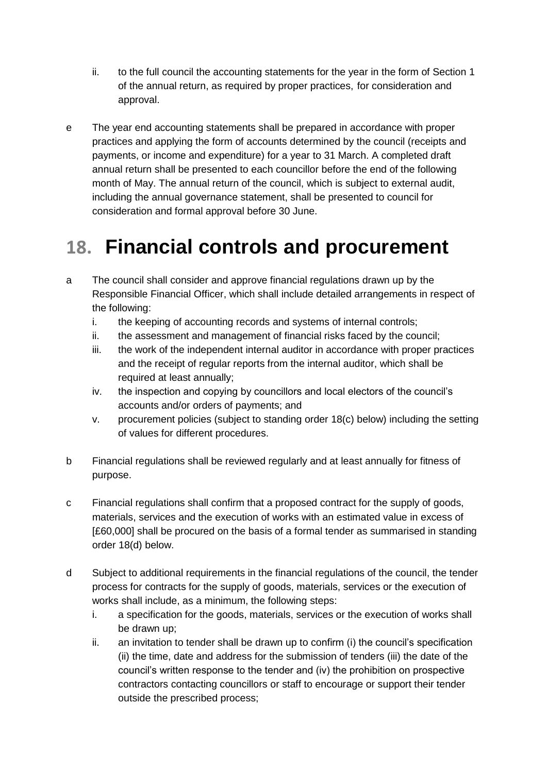- ii. to the full council the accounting statements for the year in the form of Section 1 of the annual return, as required by proper practices, for consideration and approval.
- e The year end accounting statements shall be prepared in accordance with proper practices and applying the form of accounts determined by the council (receipts and payments, or income and expenditure) for a year to 31 March. A completed draft annual return shall be presented to each councillor before the end of the following month of May. The annual return of the council, which is subject to external audit, including the annual governance statement, shall be presented to council for consideration and formal approval before 30 June.

#### **18. Financial controls and procurement**

- a The council shall consider and approve financial regulations drawn up by the Responsible Financial Officer, which shall include detailed arrangements in respect of the following:
	- i. the keeping of accounting records and systems of internal controls;
	- ii. the assessment and management of financial risks faced by the council;
	- iii. the work of the independent internal auditor in accordance with proper practices and the receipt of regular reports from the internal auditor, which shall be required at least annually;
	- iv. the inspection and copying by councillors and local electors of the council's accounts and/or orders of payments; and
	- v. procurement policies (subject to standing order 18(c) below) including the setting of values for different procedures.
- b Financial regulations shall be reviewed regularly and at least annually for fitness of purpose.
- c Financial regulations shall confirm that a proposed contract for the supply of goods, materials, services and the execution of works with an estimated value in excess of [£60,000] shall be procured on the basis of a formal tender as summarised in standing order 18(d) below.
- d Subject to additional requirements in the financial regulations of the council, the tender process for contracts for the supply of goods, materials, services or the execution of works shall include, as a minimum, the following steps:
	- i. a specification for the goods, materials, services or the execution of works shall be drawn up;
	- ii. an invitation to tender shall be drawn up to confirm (i) the council's specification (ii) the time, date and address for the submission of tenders (iii) the date of the council's written response to the tender and (iv) the prohibition on prospective contractors contacting councillors or staff to encourage or support their tender outside the prescribed process;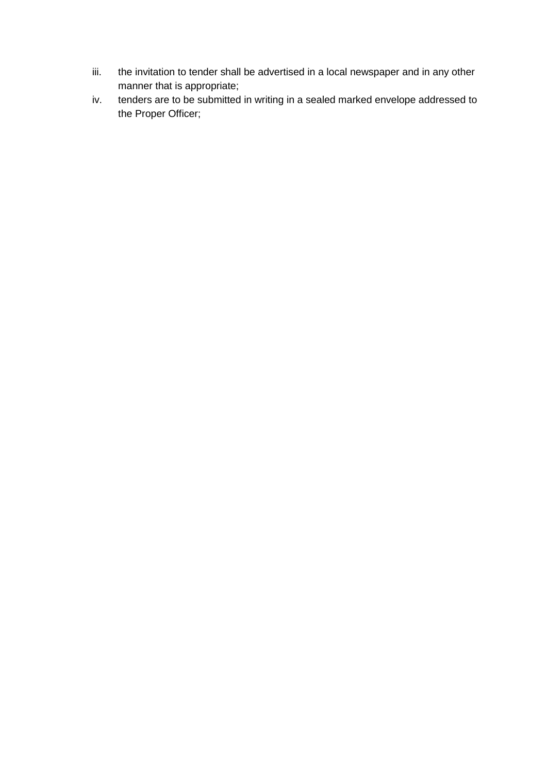- iii. the invitation to tender shall be advertised in a local newspaper and in any other manner that is appropriate;
- iv. tenders are to be submitted in writing in a sealed marked envelope addressed to the Proper Officer;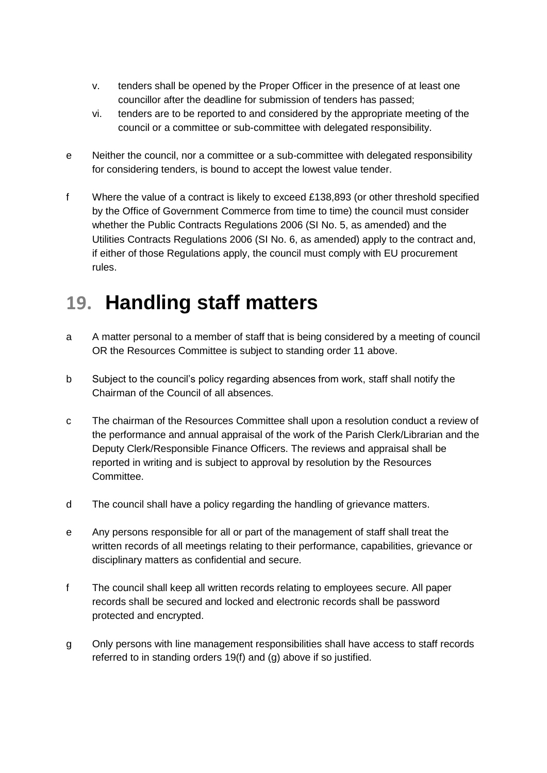- v. tenders shall be opened by the Proper Officer in the presence of at least one councillor after the deadline for submission of tenders has passed;
- vi. tenders are to be reported to and considered by the appropriate meeting of the council or a committee or sub-committee with delegated responsibility.
- e Neither the council, nor a committee or a sub-committee with delegated responsibility for considering tenders, is bound to accept the lowest value tender.
- f Where the value of a contract is likely to exceed £138,893 (or other threshold specified by the Office of Government Commerce from time to time) the council must consider whether the Public Contracts Regulations 2006 (SI No. 5, as amended) and the Utilities Contracts Regulations 2006 (SI No. 6, as amended) apply to the contract and, if either of those Regulations apply, the council must comply with EU procurement rules.

## **19. Handling staff matters**

- a A matter personal to a member of staff that is being considered by a meeting of council OR the Resources Committee is subject to standing order 11 above.
- b Subject to the council's policy regarding absences from work, staff shall notify the Chairman of the Council of all absences.
- c The chairman of the Resources Committee shall upon a resolution conduct a review of the performance and annual appraisal of the work of the Parish Clerk/Librarian and the Deputy Clerk/Responsible Finance Officers. The reviews and appraisal shall be reported in writing and is subject to approval by resolution by the Resources Committee.
- d The council shall have a policy regarding the handling of grievance matters.
- e Any persons responsible for all or part of the management of staff shall treat the written records of all meetings relating to their performance, capabilities, grievance or disciplinary matters as confidential and secure.
- f The council shall keep all written records relating to employees secure. All paper records shall be secured and locked and electronic records shall be password protected and encrypted.
- g Only persons with line management responsibilities shall have access to staff records referred to in standing orders 19(f) and (g) above if so justified.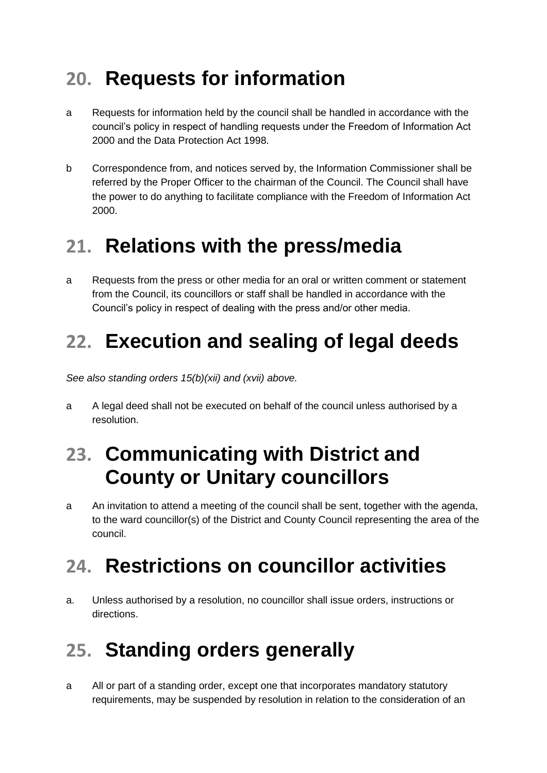## **20. Requests for information**

- a Requests for information held by the council shall be handled in accordance with the council's policy in respect of handling requests under the Freedom of Information Act 2000 and the Data Protection Act 1998.
- b Correspondence from, and notices served by, the Information Commissioner shall be referred by the Proper Officer to the chairman of the Council. The Council shall have the power to do anything to facilitate compliance with the Freedom of Information Act 2000.

#### **21. Relations with the press/media**

a Requests from the press or other media for an oral or written comment or statement from the Council, its councillors or staff shall be handled in accordance with the Council's policy in respect of dealing with the press and/or other media.

#### **22. Execution and sealing of legal deeds**

*See also standing orders 15(b)(xii) and (xvii) above.*

a A legal deed shall not be executed on behalf of the council unless authorised by a resolution.

#### **23. Communicating with District and County or Unitary councillors**

a An invitation to attend a meeting of the council shall be sent, together with the agenda, to the ward councillor(s) of the District and County Council representing the area of the council.

#### **24. Restrictions on councillor activities**

a. Unless authorised by a resolution, no councillor shall issue orders, instructions or directions.

#### **25. Standing orders generally**

a All or part of a standing order, except one that incorporates mandatory statutory requirements, may be suspended by resolution in relation to the consideration of an